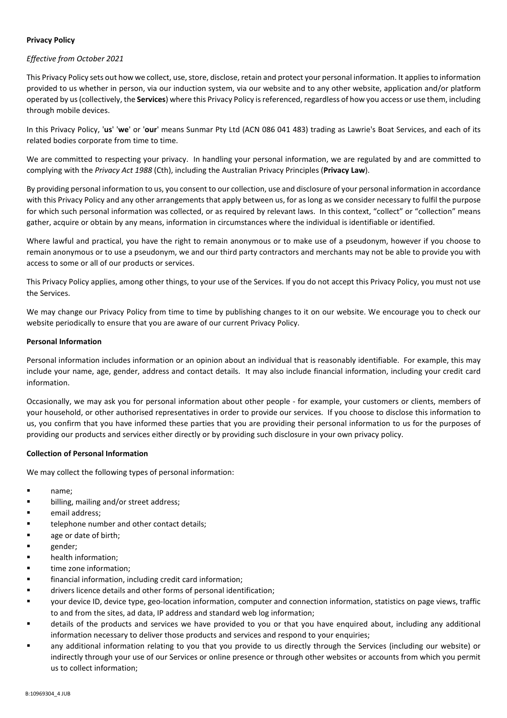# **Privacy Policy**

## *Effective from October 2021*

This Privacy Policy sets out how we collect, use, store, disclose, retain and protect your personal information. It applies to information provided to us whether in person, via our induction system, via our website and to any other website, application and/or platform operated by us (collectively, the **Services**) where this Privacy Policy is referenced, regardless of how you access or use them, including through mobile devices.

In this Privacy Policy, '**us**' '**we**' or '**our**' means Sunmar Pty Ltd (ACN 086 041 483) trading as Lawrie's Boat Services, and each of its related bodies corporate from time to time.

We are committed to respecting your privacy. In handling your personal information, we are regulated by and are committed to complying with the *Privacy Act 1988* (Cth), including the Australian Privacy Principles (**Privacy Law**).

By providing personal information to us, you consent to our collection, use and disclosure of your personal information in accordance with this Privacy Policy and any other arrangements that apply between us, for as long as we consider necessary to fulfil the purpose for which such personal information was collected, or as required by relevant laws. In this context, "collect" or "collection" means gather, acquire or obtain by any means, information in circumstances where the individual is identifiable or identified.

Where lawful and practical, you have the right to remain anonymous or to make use of a pseudonym, however if you choose to remain anonymous or to use a pseudonym, we and our third party contractors and merchants may not be able to provide you with access to some or all of our products or services.

This Privacy Policy applies, among other things, to your use of the Services. If you do not accept this Privacy Policy, you must not use the Services.

We may change our Privacy Policy from time to time by publishing changes to it on our website. We encourage you to check our website periodically to ensure that you are aware of our current Privacy Policy.

### **Personal Information**

Personal information includes information or an opinion about an individual that is reasonably identifiable. For example, this may include your name, age, gender, address and contact details. It may also include financial information, including your credit card information.

Occasionally, we may ask you for personal information about other people - for example, your customers or clients, members of your household, or other authorised representatives in order to provide our services. If you choose to disclose this information to us, you confirm that you have informed these parties that you are providing their personal information to us for the purposes of providing our products and services either directly or by providing such disclosure in your own privacy policy.

### **Collection of Personal Information**

We may collect the following types of personal information:

- name;
- **•** billing, mailing and/or street address;
- **Example 1** email address;
- **telephone number and other contact details;**
- **age or date of birth;**
- **gender**;
- **•** health information:
- **time zone information;**
- financial information, including credit card information;
- **ulters limits in the details and other forms of personal identification;**
- your device ID, device type, geo-location information, computer and connection information, statistics on page views, traffic to and from the sites, ad data, IP address and standard web log information;
- details of the products and services we have provided to you or that you have enquired about, including any additional information necessary to deliver those products and services and respond to your enquiries;
- any additional information relating to you that you provide to us directly through the Services (including our website) or indirectly through your use of our Services or online presence or through other websites or accounts from which you permit us to collect information;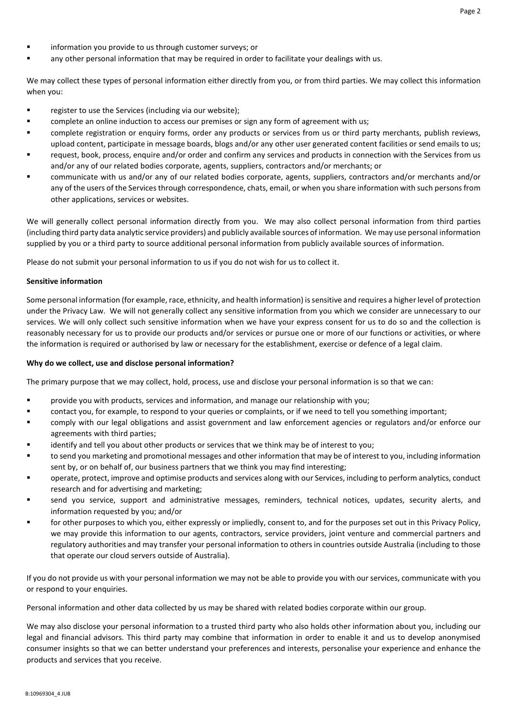- **Example 1** information you provide to us through customer surveys; or
- any other personal information that may be required in order to facilitate your dealings with us.

We may collect these types of personal information either directly from you, or from third parties. We may collect this information when you:

- register to use the Services (including via our website);
- **EXECOMPHETE AND IN A 20 THE 20 TH 20 TH 20 TH 20 TH 20 TH 20 TH 20 TH 20 TH 20 TH 20 TH 20 TH 20 TH 20 TH 20 TH 20 TH 20 TH 20 TH 20 TH 20 TH 20 TH 20 TH 20 TH 20 TH 20 TH 20 TH 20 TH 20 TH 20 TH 20 TH 20 TH 20 TH 20 TH 2**
- complete registration or enquiry forms, order any products or services from us or third party merchants, publish reviews, upload content, participate in message boards, blogs and/or any other user generated content facilities or send emails to us;
- request, book, process, enquire and/or order and confirm any services and products in connection with the Services from us and/or any of our related bodies corporate, agents, suppliers, contractors and/or merchants; or
- communicate with us and/or any of our related bodies corporate, agents, suppliers, contractors and/or merchants and/or any of the users of the Services through correspondence, chats, email, or when you share information with such persons from other applications, services or websites.

We will generally collect personal information directly from you. We may also collect personal information from third parties (including third party data analytic service providers) and publicly available sources of information. We may use personal information supplied by you or a third party to source additional personal information from publicly available sources of information.

Please do not submit your personal information to us if you do not wish for us to collect it.

#### **Sensitive information**

Some personal information (for example, race, ethnicity, and health information) is sensitive and requires a higher level of protection under the Privacy Law. We will not generally collect any sensitive information from you which we consider are unnecessary to our services. We will only collect such sensitive information when we have your express consent for us to do so and the collection is reasonably necessary for us to provide our products and/or services or pursue one or more of our functions or activities, or where the information is required or authorised by law or necessary for the establishment, exercise or defence of a legal claim.

#### **Why do we collect, use and disclose personal information?**

The primary purpose that we may collect, hold, process, use and disclose your personal information is so that we can:

- provide you with products, services and information, and manage our relationship with you;
- contact you, for example, to respond to your queries or complaints, or if we need to tell you something important;
- comply with our legal obligations and assist government and law enforcement agencies or regulators and/or enforce our agreements with third parties;
- identify and tell you about other products or services that we think may be of interest to you;
- to send you marketing and promotional messages and other information that may be of interest to you, including information sent by, or on behalf of, our business partners that we think you may find interesting;
- operate, protect, improve and optimise products and services along with our Services, including to perform analytics, conduct research and for advertising and marketing;
- send you service, support and administrative messages, reminders, technical notices, updates, security alerts, and information requested by you; and/or
- for other purposes to which you, either expressly or impliedly, consent to, and for the purposes set out in this Privacy Policy, we may provide this information to our agents, contractors, service providers, joint venture and commercial partners and regulatory authorities and may transfer your personal information to others in countries outside Australia (including to those that operate our cloud servers outside of Australia).

If you do not provide us with your personal information we may not be able to provide you with our services, communicate with you or respond to your enquiries.

Personal information and other data collected by us may be shared with related bodies corporate within our group.

We may also disclose your personal information to a trusted third party who also holds other information about you, including our legal and financial advisors. This third party may combine that information in order to enable it and us to develop anonymised consumer insights so that we can better understand your preferences and interests, personalise your experience and enhance the products and services that you receive.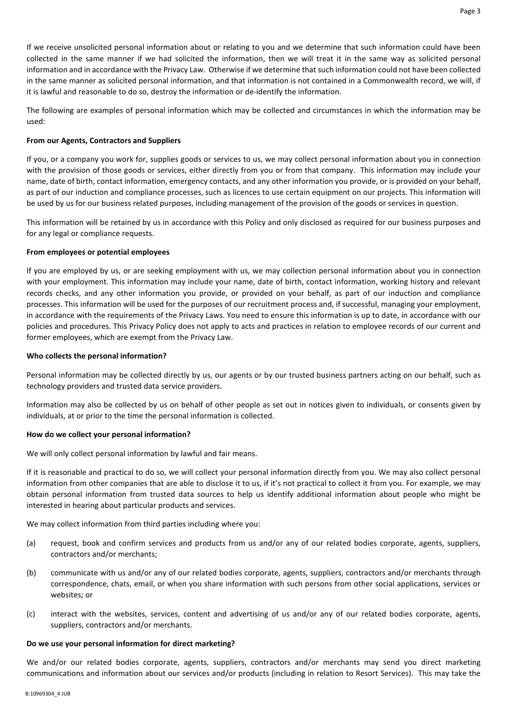If we receive unsolicited personal information about or relating to you and we determine that such information could have been collected in the same manner if we had solicited the information, then we will treat it in the same way as solicited personal information and in accordance with the Privacy Law. Otherwise if we determine that such information could not have been collected in the same manner as solicited personal information, and that information is not contained in a Commonwealth record, we will, if it is lawful and reasonable to do so, destroy the information or de-identify the information.

The following are examples of personal information which may be collected and circumstances in which the information may be used:

## **From our Agents, Contractors and Suppliers**

If you, or a company you work for, supplies goods or services to us, we may collect personal information about you in connection with the provision of those goods or services, either directly from you or from that company. This information may include your name, date of birth, contact information, emergency contacts, and any other information you provide, or is provided on your behalf, as part of our induction and compliance processes, such as licences to use certain equipment on our projects. This information will be used by us for our business related purposes, including management of the provision of the goods or services in question.

This information will be retained by us in accordance with this Policy and only disclosed as required for our business purposes and for any legal or compliance requests.

## **From employees or potential employees**

If you are employed by us, or are seeking employment with us, we may collection personal information about you in connection with your employment. This information may include your name, date of birth, contact information, working history and relevant records checks, and any other information you provide, or provided on your behalf, as part of our induction and compliance processes. This information will be used for the purposes of our recruitment process and, if successful, managing your employment, in accordance with the requirements of the Privacy Laws. You need to ensure this information is up to date, in accordance with our policies and procedures. This Privacy Policy does not apply to acts and practices in relation to employee records of our current and former employees, which are exempt from the Privacy Law.

## **Who collects the personal information?**

Personal information may be collected directly by us, our agents or by our trusted business partners acting on our behalf, such as technology providers and trusted data service providers.

Information may also be collected by us on behalf of other people as set out in notices given to individuals, or consents given by individuals, at or prior to the time the personal information is collected.

### **How do we collect your personal information?**

We will only collect personal information by lawful and fair means.

If it is reasonable and practical to do so, we will collect your personal information directly from you. We may also collect personal information from other companies that are able to disclose it to us, if it's not practical to collect it from you. For example, we may obtain personal information from trusted data sources to help us identify additional information about people who might be interested in hearing about particular products and services.

We may collect information from third parties including where you:

- (a) request, book and confirm services and products from us and/or any of our related bodies corporate, agents, suppliers, contractors and/or merchants;
- (b) communicate with us and/or any of our related bodies corporate, agents, suppliers, contractors and/or merchants through correspondence, chats, email, or when you share information with such persons from other social applications, services or websites; or
- (c) interact with the websites, services, content and advertising of us and/or any of our related bodies corporate, agents, suppliers, contractors and/or merchants.

### **Do we use your personal information for direct marketing?**

We and/or our related bodies corporate, agents, suppliers, contractors and/or merchants may send you direct marketing communications and information about our services and/or products (including in relation to Resort Services). This may take the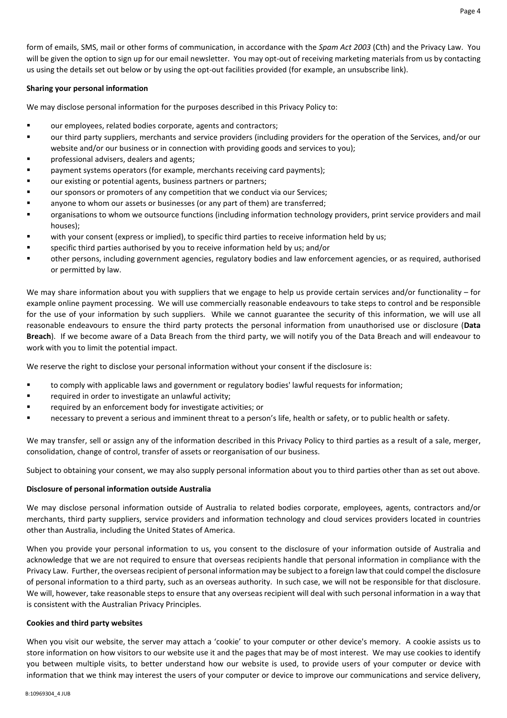## **Sharing your personal information**

We may disclose personal information for the purposes described in this Privacy Policy to:

- our employees, related bodies corporate, agents and contractors;
- our third party suppliers, merchants and service providers (including providers for the operation of the Services, and/or our website and/or our business or in connection with providing goods and services to you);
- professional advisers, dealers and agents;
- payment systems operators (for example, merchants receiving card payments);
- our existing or potential agents, business partners or partners;
- our sponsors or promoters of any competition that we conduct via our Services;
- **EXECT** anyone to whom our assets or businesses (or any part of them) are transferred;
- organisations to whom we outsource functions (including information technology providers, print service providers and mail houses);
- with your consent (express or implied), to specific third parties to receive information held by us;
- specific third parties authorised by you to receive information held by us; and/or
- other persons, including government agencies, regulatory bodies and law enforcement agencies, or as required, authorised or permitted by law.

We may share information about you with suppliers that we engage to help us provide certain services and/or functionality – for example online payment processing. We will use commercially reasonable endeavours to take steps to control and be responsible for the use of your information by such suppliers. While we cannot guarantee the security of this information, we will use all reasonable endeavours to ensure the third party protects the personal information from unauthorised use or disclosure (**Data Breach**). If we become aware of a Data Breach from the third party, we will notify you of the Data Breach and will endeavour to work with you to limit the potential impact.

We reserve the right to disclose your personal information without your consent if the disclosure is:

- to comply with applicable laws and government or regulatory bodies' lawful requests for information;
- **F** required in order to investigate an unlawful activity;
- required by an enforcement body for investigate activities; or
- necessary to prevent a serious and imminent threat to a person's life, health or safety, or to public health or safety.

We may transfer, sell or assign any of the information described in this Privacy Policy to third parties as a result of a sale, merger, consolidation, change of control, transfer of assets or reorganisation of our business.

Subject to obtaining your consent, we may also supply personal information about you to third parties other than as set out above.

### **Disclosure of personal information outside Australia**

We may disclose personal information outside of Australia to related bodies corporate, employees, agents, contractors and/or merchants, third party suppliers, service providers and information technology and cloud services providers located in countries other than Australia, including the United States of America.

When you provide your personal information to us, you consent to the disclosure of your information outside of Australia and acknowledge that we are not required to ensure that overseas recipients handle that personal information in compliance with the Privacy Law. Further, the overseas recipient of personal information may be subject to a foreign law that could compel the disclosure of personal information to a third party, such as an overseas authority. In such case, we will not be responsible for that disclosure. We will, however, take reasonable steps to ensure that any overseas recipient will deal with such personal information in a way that is consistent with the Australian Privacy Principles.

### **Cookies and third party websites**

When you visit our website, the server may attach a 'cookie' to your computer or other device's memory. A cookie assists us to store information on how visitors to our website use it and the pages that may be of most interest. We may use cookies to identify you between multiple visits, to better understand how our website is used, to provide users of your computer or device with information that we think may interest the users of your computer or device to improve our communications and service delivery,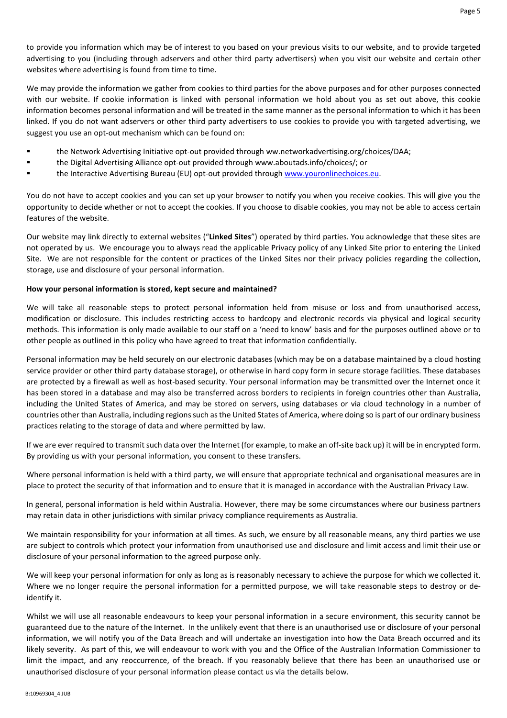to provide you information which may be of interest to you based on your previous visits to our website, and to provide targeted advertising to you (including through adservers and other third party advertisers) when you visit our website and certain other websites where advertising is found from time to time.

We may provide the information we gather from cookies to third parties for the above purposes and for other purposes connected with our website. If cookie information is linked with personal information we hold about you as set out above, this cookie information becomes personal information and will be treated in the same manner as the personal information to which it has been linked. If you do not want adservers or other third party advertisers to use cookies to provide you with targeted advertising, we suggest you use an opt-out mechanism which can be found on:

- the Network Advertising Initiative opt-out provided through ww.networkadvertising.org/choices/DAA;
- the Digital Advertising Alliance opt-out provided through www.aboutads.info/choices/; or
- the Interactive Advertising Bureau (EU) opt-out provided through www.youronlinechoices.eu.

You do not have to accept cookies and you can set up your browser to notify you when you receive cookies. This will give you the opportunity to decide whether or not to accept the cookies. If you choose to disable cookies, you may not be able to access certain features of the website.

Our website may link directly to external websites ("**Linked Sites**") operated by third parties. You acknowledge that these sites are not operated by us. We encourage you to always read the applicable Privacy policy of any Linked Site prior to entering the Linked Site. We are not responsible for the content or practices of the Linked Sites nor their privacy policies regarding the collection, storage, use and disclosure of your personal information.

### **How your personal information is stored, kept secure and maintained?**

We will take all reasonable steps to protect personal information held from misuse or loss and from unauthorised access, modification or disclosure. This includes restricting access to hardcopy and electronic records via physical and logical security methods. This information is only made available to our staff on a 'need to know' basis and for the purposes outlined above or to other people as outlined in this policy who have agreed to treat that information confidentially.

Personal information may be held securely on our electronic databases (which may be on a database maintained by a cloud hosting service provider or other third party database storage), or otherwise in hard copy form in secure storage facilities. These databases are protected by a firewall as well as host-based security. Your personal information may be transmitted over the Internet once it has been stored in a database and may also be transferred across borders to recipients in foreign countries other than Australia, including the United States of America, and may be stored on servers, using databases or via cloud technology in a number of countries other than Australia, including regions such as the United States of America, where doing so is part of our ordinary business practices relating to the storage of data and where permitted by law.

If we are ever required to transmit such data over the Internet (for example, to make an off-site back up) it will be in encrypted form. By providing us with your personal information, you consent to these transfers.

Where personal information is held with a third party, we will ensure that appropriate technical and organisational measures are in place to protect the security of that information and to ensure that it is managed in accordance with the Australian Privacy Law.

In general, personal information is held within Australia. However, there may be some circumstances where our business partners may retain data in other jurisdictions with similar privacy compliance requirements as Australia.

We maintain responsibility for your information at all times. As such, we ensure by all reasonable means, any third parties we use are subject to controls which protect your information from unauthorised use and disclosure and limit access and limit their use or disclosure of your personal information to the agreed purpose only.

We will keep your personal information for only as long as is reasonably necessary to achieve the purpose for which we collected it. Where we no longer require the personal information for a permitted purpose, we will take reasonable steps to destroy or deidentify it.

Whilst we will use all reasonable endeavours to keep your personal information in a secure environment, this security cannot be guaranteed due to the nature of the Internet. In the unlikely event that there is an unauthorised use or disclosure of your personal information, we will notify you of the Data Breach and will undertake an investigation into how the Data Breach occurred and its likely severity. As part of this, we will endeavour to work with you and the Office of the Australian Information Commissioner to limit the impact, and any reoccurrence, of the breach. If you reasonably believe that there has been an unauthorised use or unauthorised disclosure of your personal information please contact us via the details below.